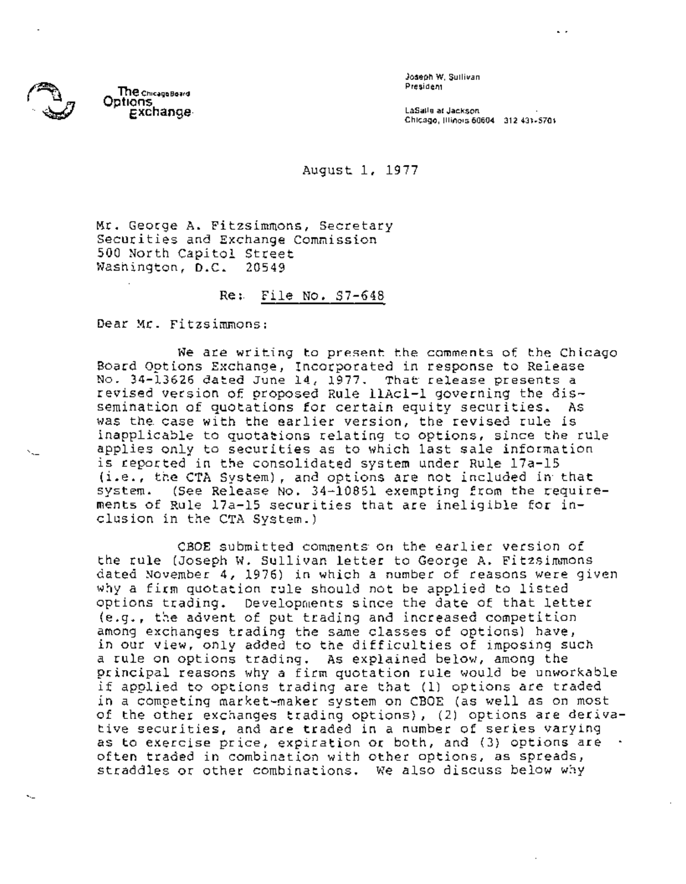

 $\lambda$ 

 $\ddotsc$ 

Joseph W. **Sullivan**  President

LaSalle at Jackson Chicago, Illinois60604 312431-5701

 $\ddot{\phantom{0}}$ 

## August 1, 1977

Mr. George A. Fitzsimmons, Secretary Securities and Exchange Commission 500 North capitol Street Washington, D.C. 20549

## Re: File No. \$7-648

Dear Mr. Fitzsimmons:

We are writing to present the comments of the Chicago Board Options Exchange, Incorporated in response to Release No. 34-13626 dated June 14, 1977. That release presents a revised version of proposed Rule llAcl-i governing the dissemination of quotations for certain equity securities. As was the case with the earlier version, the revised rule is inapplicable to quotations relating to options, since the rule applies only to securities as to which last sale information is reported in the consolidated system under Rule 17a-15 (i.e., the CTA System), and options are not included in that system. (See Release No. 34-10851 exempting from the requirements of Rule 17a-15 securities that are ineligible for inclusion in the CTA System.)

CBOE submitted comments on the earlier version of the rule (Joseph W. Sullivan letter to George A. Fitzsimmons dated November 4, 1976) in which a number of reasons were given why a firm quotation rule should not be applied to listed options trading. Developments since the date of that letter (e.g., the advent of put trading and increased competition among exchanges trading the same classes of options) have, in our view, only added to the difficulties of imposing such a rule on options trading. As explained below, among the principal reasons why a firm quotation rule would be unworkable if applied to options trading are that (i) options are traded in a competing market-maker system on CBOE (as well as on most of the other exchanges trading options), (2) options are derivative securities, and are traded in a number of series varying as to exercise price, expiration or both, and (3) options are often traded in combination with other options, as spreads, straddles or other combinations. We also discuss below why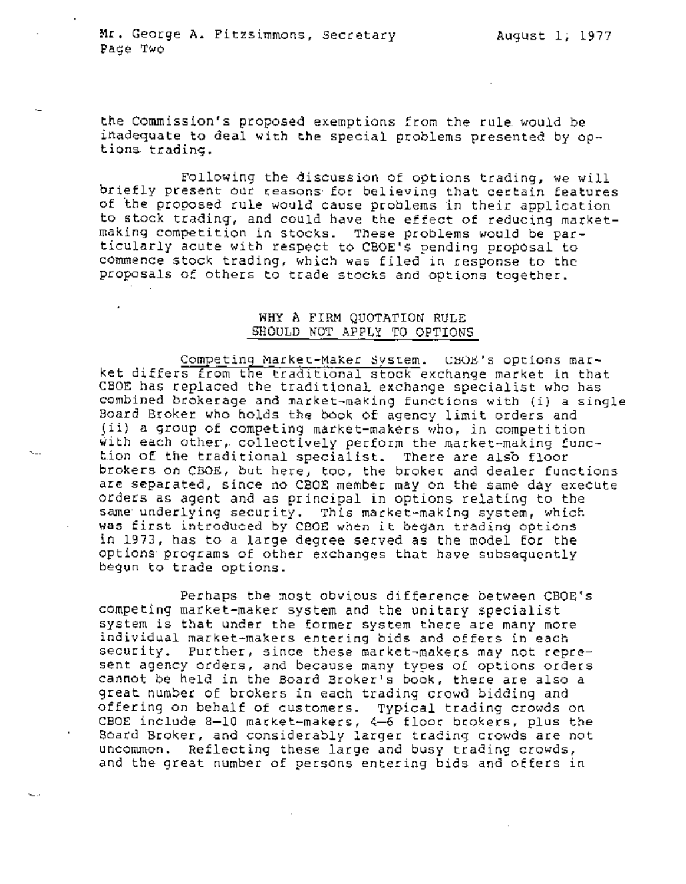$\mathbf{v}_{\text{max}}$ 

the Commission's proposed exemptions from the rule would be inadequate to deal with the special problems presented by options trading.

Following the discussion of options trading, we will briefly present our reasons for believing that certain features of the proposed rule would cause problems in their application to stock trading, and could have the effect of reducing marketmaking competition in stocks. These problems would be particularly acute with respect to CBOE's pending proposal to commence stock trading, which was filed in response to the proposals of others to trade stocks and options together.

## WHY A FIRM QUOTATION RULE SHOULD NOT APPLY TO OPTIONS

Competing Market-Maker System. CBOE's options market differs from the traditional stock exchange market in that CBOE has replaced the traditional exchange specialist who has combined brokerage and market-making functions with (i) a single Board Broker who holds the book of agency limit orders and (ii) a~ group of competing market-makers who, in competition with each other, collectively perform the market-making function of the traditional specialist. There are alsb floor brokers on CBOE, but here, too, the broker and dealer functions are separated, since no CBOE member may on the same day execute orders as agent and as principal in options relating to the same underlying security. This market-making system, which was first introduced by CBOE when it began trading options in 1973, has to a large degree served as the model for the options programs of other exchanges that have subsequently begun to trade options.

Perhaps the most obvious difference between CBOE's competing market-maker system and the unitary specialist system is that under the former system there are many more individual market-makers entering bids and offers in each security. Further, since these market-makers may not represent agency orders, and because many types of options orders cannot be held in the Board Broker's book, there are also a great number of brokers in each trading crowd bidding and offering on behalf of customers. Typical trading crowds on CBOE include 8-10 market-makers, 4-6 floor brokers, plus the Board Broker, and considerably larger trading crowds are not uncommon. Reflecting these large and busy trading crowds, and the great number of persons entering bids and offers in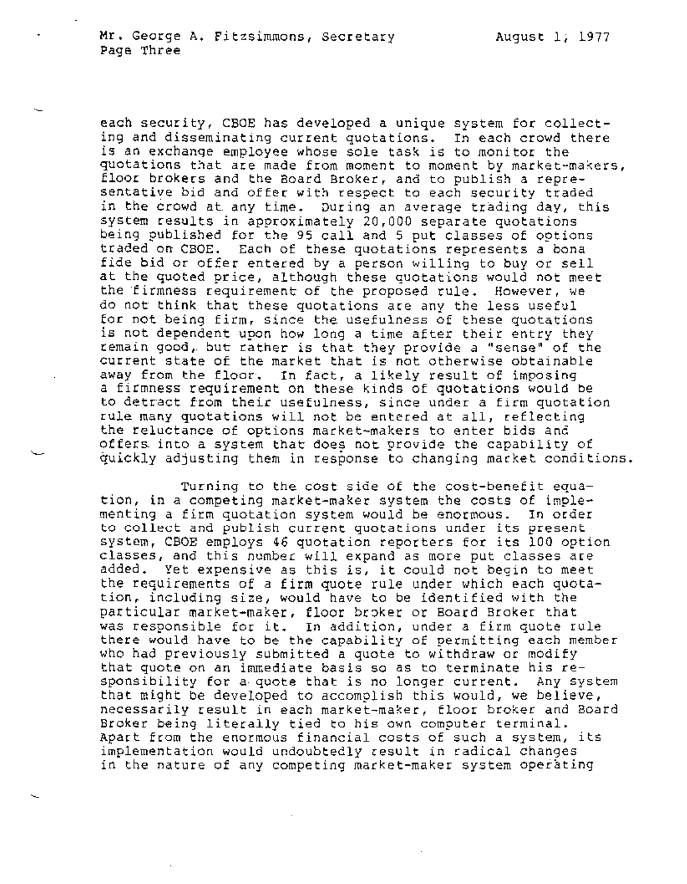each security, CBOE has developed a unique system for collecting and disseminating current quotations. In each crowd there is an exchange employee whose sole task is to monitor the quotations that are made from moment to moment by market-makers, floor brokers and the Board Broker, and to publish a representative bid and offer with respect to each security traded in the Crowd at any time. During an average trading day, this system results in approximately 20,000 separate quotations being published for the 95 call and 5 put classes of options traded on CBOE. Each of these quotations represents a bona fide bid or offer entered by a person willing to buy or sell at the quoted price, although these quotations would not meet the firmness requirement of the proposed rule. However, we do not think that these quotations are any the less useful for not being firm, since the usefulness of these quotations is not dependent upon how long a time after their entry they remain good, but rather is that they provide a "sense" of the current state of the market that is not otherwise obtainable away from the floor. In fact, a likely result of imposing a firmness requirement on these kinds of quotations would be to detract from their usefulness, since under a firm quotation rule many quotations will not be entered at all, reflecting the reluctance of options market-makers to enter bids and offers into a system that does not provide the capability of quickly adjusting them in response to changing market conditions.

Turning to the cost side of the cost-benefit equation, in a competing market-maker system the costs of implementing a firm quotation system would be enormous. In order to collect and publish current quotations under its present system, CBOE employs 46 quotation reporters for its i00 option classes, and this number will expand as more put classes are added. Yet expensive as this is, it could not begin to meet the requirements of a firm quote rule under which each quotation, including size, would have to be identified with the particular market-maker, floor broker or Board Broker that was responsible for it. In addition, under a firm quote rule there would have to be the capability of permitting each member who had previously submitted a quote to withdraw or modify that quote on an immediate basis so as to terminate his responsibility for a quote that is no longer current. Any system that might be developed to accomplish this would, we believe, necessarily result in each market-maker, floor broker and Board Broker being literally tied to his own computer terminal. Apart from the enormous financial costs of such a system, its implementation would undoubtedly result in radical changes in the nature of any competing market-maker system operating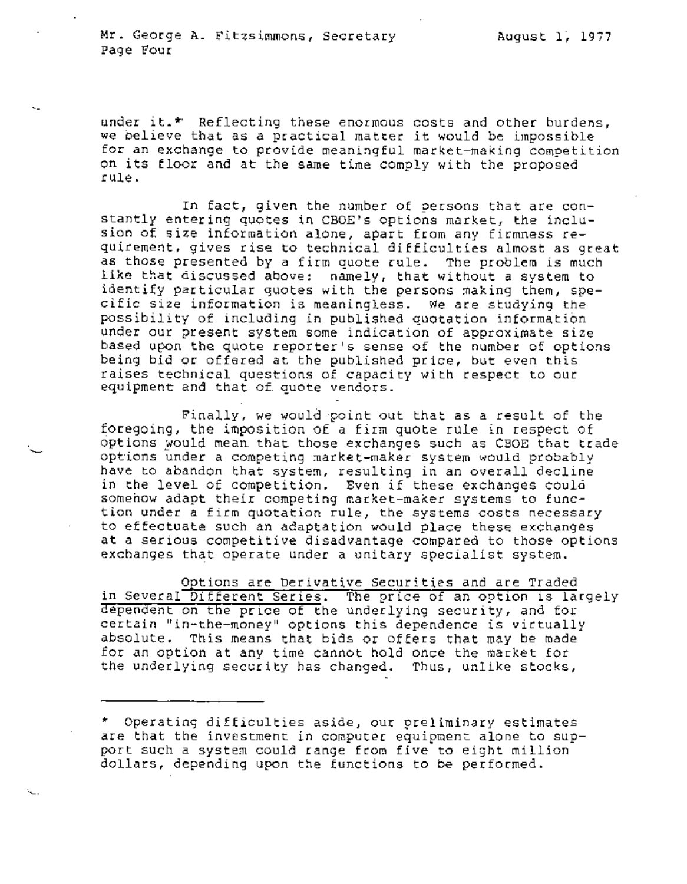under it. $*$  Reflecting these enormous costs and other burdens, we believe that as a practical matter it would be impossible for an exchange to provide meaningful market-making competition on its floor and at the same time comply with the proposed rule.

In fact, given the number of persons that are constantly entering quotes in CBOE's options market, the inclusion of size information alone, apart from any firmness requirement, gives rise to technical difficulties almost as great as those presented by a firm quote rule. The problem is much like that discussed above: namely, that without a system to identify particular quotes with the persons making them, specific size information is meaningless. We are studying the possibility of including in published quotation information under our present system some indication of approximate size based upon the quote reporter's sense of the number of options being bid or offered at the published price, but even this raises technical questions of capacity with respect to our equipment and that of quote vendors.

Finally, we would point out that as a result of the foregoing, the imposition of a firm quote rule in respect of options would mean that those exchanges such as CBOE that trade options under a competing market-maker system would probably have to abandon that system, resulting in an overall decline in the level of competition. Even if these exchanges could somehow adapt their competing market-maker systems to function under a firm quotation rule, the systems costs necessary to effectuate such an adaptation would place these exchanges at a serious competitive disadvantage compared to those options exchanges that operate under a unitary specialist system.

Options are Derivative Securities and are Traded in Several Different Series. The price of an option is largely dependent on the price of the underlying security, and for certain "in-the-money" options this dependence is virtually absolute. This means that bids or offers that may be made for an option at any time cannot hold once the market for the underlying security has changed. Thus, unlike stocks,

<sup>\*</sup> Operating difficulties aside, our preliminary estimates are that the investment in computer equipment alone to support such a system could range from five to eight million dollars, depending upon the functions to be performed.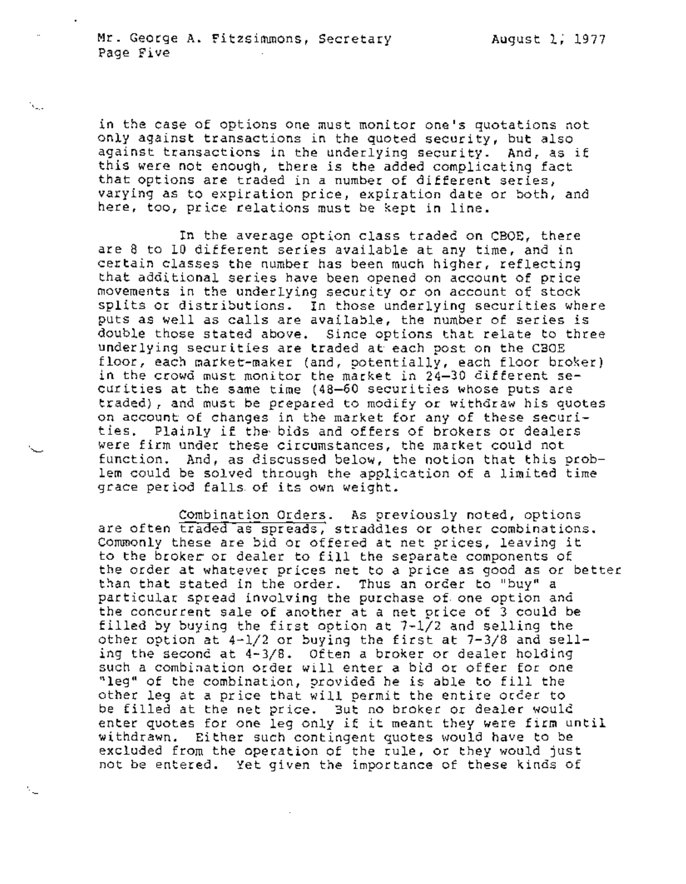N.

N.

in the case of options one must monitor one's quotations not only against transactions in the quoted security, but also against transactions in the underlying security. And, as if this were not enough, there is the added complicating fact that options are traded in a number of different series, varying as to expiration price, expiration date or both, and here, too, price relations must be kept in line.

In the average option class traded on CBOE, there are 8 to 10 different series available at any time, and in certain classes the number has been much higher, reflecting that additional series have been opened on account of price movements in the underlying security or on account of stock splits or distributions. In those underlying securities where puts as well as calls are available, the number of series is double those stated above. Since options that relate to three underlying securities are traded at each post on the CBOE floor, each market-maker (and, potentially, each floor broker) in the crowd must monitor the market in 24-30 different securities at the same time (48-60 securities whose puts are traded), and must be prepared to modify or withdraw his quotes on account of changes in the market for any of these securities. Plainly if the~ bids and offers of brokers or dealers were firm under these circumstances, the market could not function. And, as discussed below, the notion that this problem could be solved through the application of a limited time grace period falls of its own weight.

Combination Orders. As previously noted, options are often traded as spreads, straddles or other combinations. Commonly these are bid or offered at net prices, leaving it to the broker or dealer to fill the separate components of the order at whatever prices net to a price as good as or better than that stated in the order. Thus an order to "buy" a particular spread involving the purchase of one option and the concurrent sale of another at a net price of 3 could be filled by buying the first option at 7-1/2 and selling the other option at  $4-1/2$  or buying the first at  $7-3/8$  and selling the second at 4-3/8. Often a broker or dealer holding such a combination order will enter a bid or offer for one "leg" of the combination, provided he is able to fill the other leg at a price that will permit the entire order to be filled at the net price. But no broker or dealer would enter quotes for one leg only if it meant they were firm until withdrawn. Either such contingent quotes would have to be excluded from the operation of the rule, or they would just not be entered. Yet given the importance of these kinds of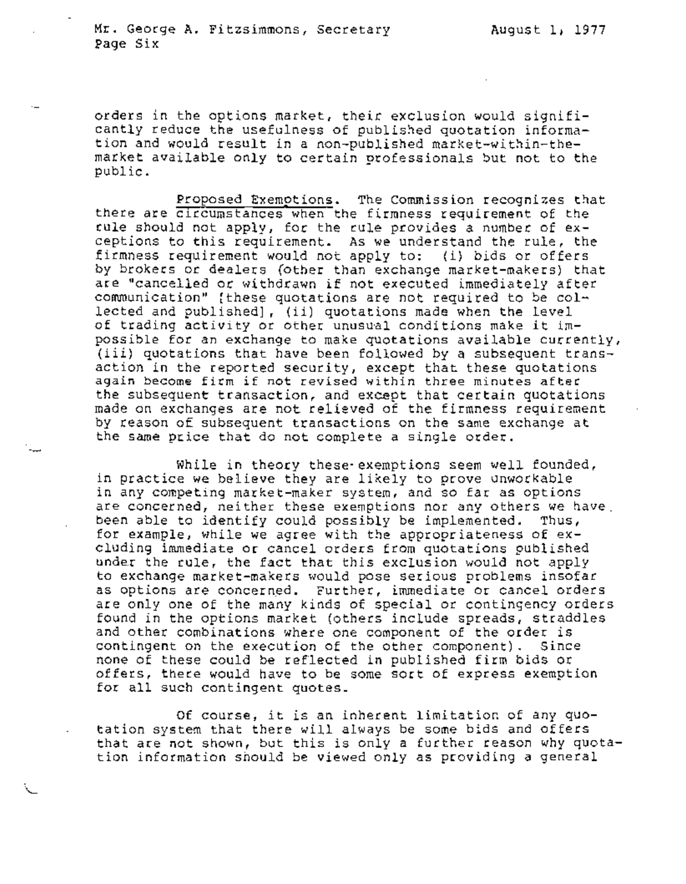orders in the options market, their exclusion would significantly reduce the usefulness of published quotation information and would result in a non-published market-within-themarket available only to certain professionals but not to the public.

Proposed Exemptions. The Commission recognizes that there are circumstances when the firmness requirement of the rule should not apply, for the rule provides a number of exceptions to this requirement. As we understand the rule, the firmness requirement would not apply to: (i) bids or offers by brokers or dealers (other than exchange market-makers) that are "cancelled or withdrawn if not executed immediately after communication" [these quotations are not required to be collected and published], (ii) quotations made when the level of trading activity or other unusual conditions make it impossible for an exchange to make quotations available currently, (iii) quotations that have been followed by a subsequent transaction in the reported security, except that these quotations again become firm if not revised within three minutes after the subsequent transaction, and except that certain quotations made on exchanges are not relieved of the firmness requirement by reason of subsequent transactions on the same exchange at the same price that do not complete a single order.

While in theory these-exemptions seem well founded, in practice we believe they are likely to prove unworkable in any competing market-maker system, and so far as options are concerned, neither these exemptions nor any others we have. been able to identify could possibly be implemented. Thus, for example, while we agree with the appropriateness of excluding immediate or cancel orders from quotations published under the rule, the fact that this exclusion would not apply to exchange market-makers would pose serious problems insofar as options are concerned. Further, immediate or cancel orders are only one of the many kinds of special or contingency orders found in the options market (others include spreads, straddles and other combinations where one component of the order is contingent on the execution of the other component). Since none of these could be reflected in published firm bids or offers, there would have to be some sort of express exemption for all such contingent quotes.

Of course, it is an inherent limitation of any quotation system that there will always be some bids and offers that are not shown, but this is only a further reason why quotation information should be viewed only as providing a general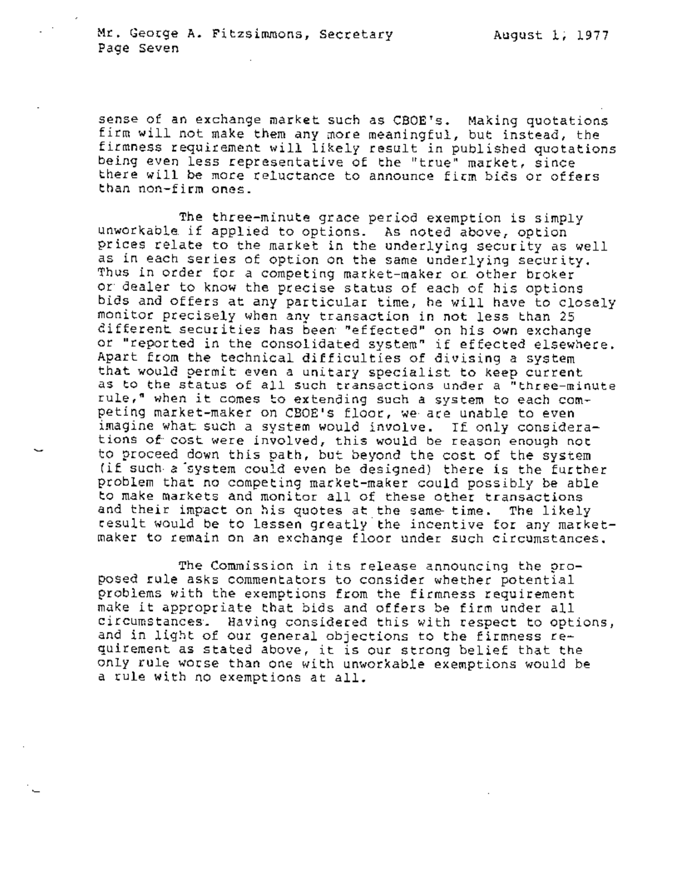sense of an exchange market such as CBOE's. Making quotations firm will not make them any more meaningful, but instead, the firmness requirement will likely result in published quotations being even less representative of the "true" market, since there will be more reluctance to announce firm bids or offers than non-firm ones.

The three-minute grace period exemption is simply unworkable if applied to options. Asnoted above, option prices relate to the market in the underlying security as well as in each series of option on the same underlying security. Thus in order for a competing market-maker or other broker or dealer to know the precise status of each of his options bids and offers at any particular time, he will have to closely monitor precisely when any transaction in not less than 25 different securities has been "effected" on his own exchange or "reported in the consolidated system" if effected elsewhere. Apart from the technical difficulties of divising a system that would permit even a unitary specialist to keep current as to the status of all such transactions under a "three-minute rule, " when it comes to extending such a system to each competing market-maker on CBOE's floor, we are unable to even imagine what such a system would involve. If only considerations of cost were involved, this would be reason enough not to proceed down this path, but beyond the cost of the system (if such a'system could even be designed) there is the further Problem that no competing market-maker could possibly be able to make markets and monitor all of these other transactions and their impact on his quotes at the same time. The likely result would be to lessen greatly the incentive for any marketmaker to remain on an exchange floor under such circumstances.

The Commission in its release announcing the proposed rule asks commentators to consider whether potential problems with the exemptions from the firmness requirement make it appropriate that bids and offers be firm under all circumstances. Having considered this with respect to options, and in light of our general objections to the firmness requirement as stated above, it is our strong belief that the only rule worse than one with unworkable exemptions would be a rule with no exemptions at all.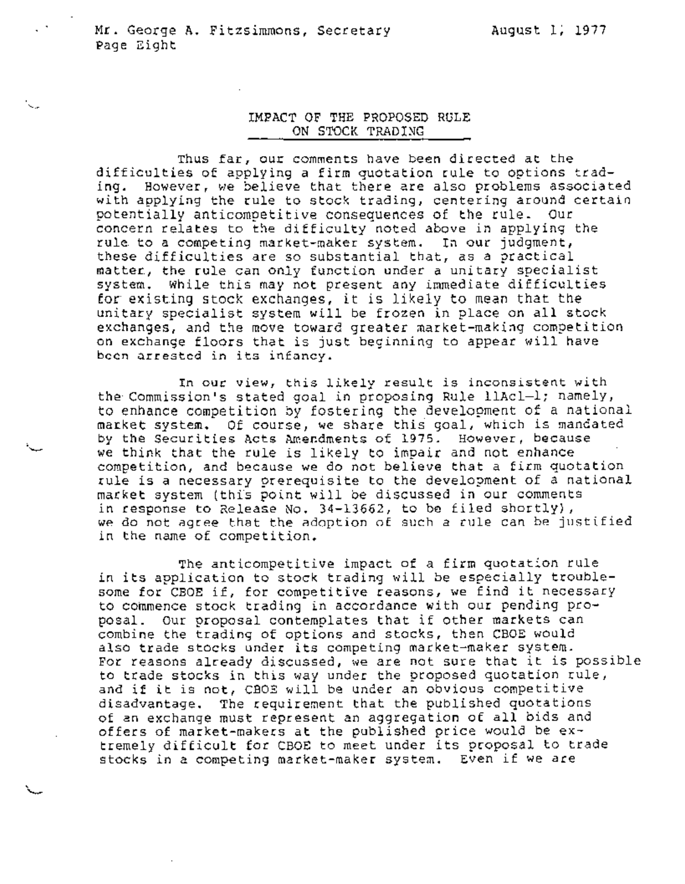**`** 

## IMPACT OF THE PROPOSED **RULE**  ON STOCK TRADING

Thus far, our comments have been directed at the difficulties of applying a firm quotation rule to options trading. However, we believe that there are also problems associated with applying the rule to stock trading, centering around certain potentially anticompetitive consequences of the rule. Our concern relates to the difficulty noted above in applying the rule to a competing market-maker system. In our judgment, these difficulties are so substantial that, as a practical matter, the rule can only function under a unitary specialist system. While this may not present any immediate difficulties for existing stock exchanges, it is likely to mean that the unitary specialist system will be frozen in place on all stock exchanges, and the move toward greater market-making competition on exchange floors that is just beginning to appear will have been arrested in its infancy.

In our view, this likely result is inconsistent with the Commission's stated goal in proposing Rule llAcl-l; namely, to enhance competition by fostering the development of a national market system. Of course, we share this goal, which is mandated by the Securities Acts Amendments of 1975. However, because we think that the rule is likely to impair and not enhance competition, and because we do not believe that a firm quotation rule is a necessary prerequisite to the development of a national market system (this point will be discussed in our comments in response to Release No. 34-13662, to be filed shortly), we do not agree that the adoption of such a rule can be justified in the name of competition.

The anticompetitive impact of a firm quotation rule in its application to stock trading will be especially troublesome for CBOE if, for competitive reasons, we find it necessary to commence stock trading in accordance with our pending proposal. Our proposal contemplates that if other markets can combine the trading of options and stocks, then CBOE would also trade stocks under its competing market-maker system. For reasons already discussed, we are not sure that it is possible to trade stocks in this way under the proposed quotation rule, and if it is not, CBOE will be under an obvious competitive disadvantage. The requirement that the published quotations of an exchange must represent an aggregation of all bids and offers of market-makers at the published price would be extremely difficult for CBOE to meet under its proposal to trade stocks in a competing market-maker system. Even if we are